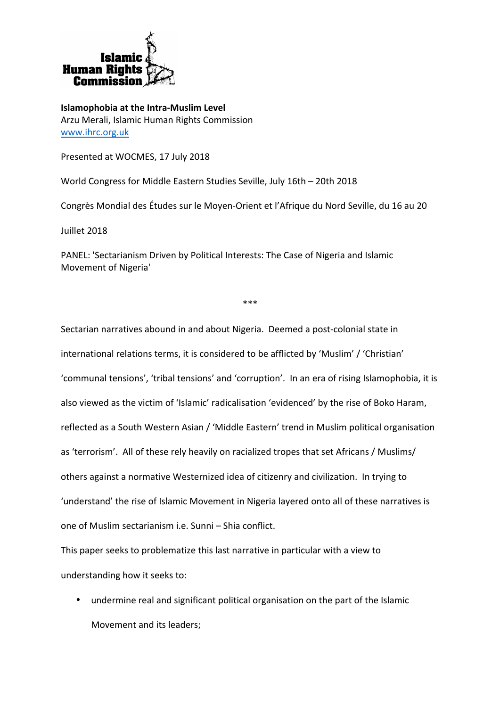

**Islamophobia at the Intra-Muslim Level** Arzu Merali, Islamic Human Rights Commission www.ihrc.org.uk

Presented at WOCMES, 17 July 2018

World Congress for Middle Eastern Studies Seville, July 16th – 20th 2018

Congrès Mondial des Études sur le Moyen-Orient et l'Afrique du Nord Seville, du 16 au 20

Juillet 2018

PANEL: 'Sectarianism Driven by Political Interests: The Case of Nigeria and Islamic Movement of Nigeria'

\*\*\*

Sectarian narratives abound in and about Nigeria. Deemed a post-colonial state in international relations terms, it is considered to be afflicted by 'Muslim' / 'Christian' 'communal tensions', 'tribal tensions' and 'corruption'. In an era of rising Islamophobia, it is also viewed as the victim of 'Islamic' radicalisation 'evidenced' by the rise of Boko Haram, reflected as a South Western Asian / 'Middle Eastern' trend in Muslim political organisation as 'terrorism'. All of these rely heavily on racialized tropes that set Africans / Muslims/ others against a normative Westernized idea of citizenry and civilization. In trying to 'understand' the rise of Islamic Movement in Nigeria layered onto all of these narratives is one of Muslim sectarianism i.e. Sunni – Shia conflict.

This paper seeks to problematize this last narrative in particular with a view to understanding how it seeks to:

• undermine real and significant political organisation on the part of the Islamic Movement and its leaders;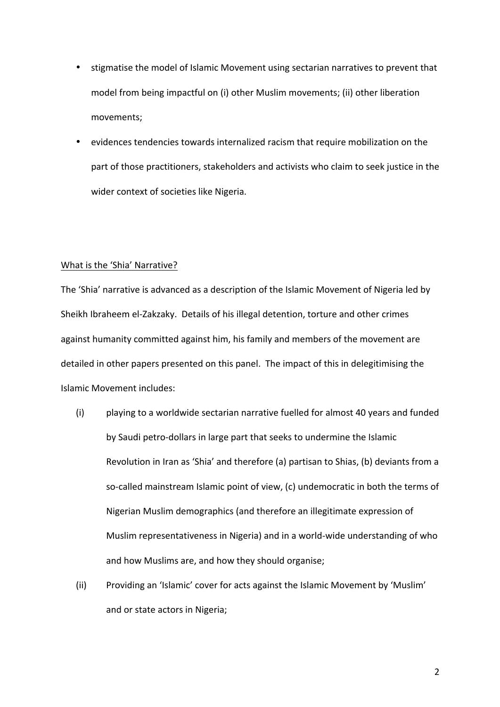- stigmatise the model of Islamic Movement using sectarian narratives to prevent that model from being impactful on (i) other Muslim movements; (ii) other liberation movements;
- evidences tendencies towards internalized racism that require mobilization on the part of those practitioners, stakeholders and activists who claim to seek justice in the wider context of societies like Nigeria.

# What is the 'Shia' Narrative?

The 'Shia' narrative is advanced as a description of the Islamic Movement of Nigeria led by Sheikh Ibraheem el-Zakzaky. Details of his illegal detention, torture and other crimes against humanity committed against him, his family and members of the movement are detailed in other papers presented on this panel. The impact of this in delegitimising the Islamic Movement includes:

- (i) playing to a worldwide sectarian narrative fuelled for almost 40 years and funded by Saudi petro-dollars in large part that seeks to undermine the Islamic Revolution in Iran as 'Shia' and therefore (a) partisan to Shias, (b) deviants from a so-called mainstream Islamic point of view, (c) undemocratic in both the terms of Nigerian Muslim demographics (and therefore an illegitimate expression of Muslim representativeness in Nigeria) and in a world-wide understanding of who and how Muslims are, and how they should organise;
- (ii) Providing an 'Islamic' cover for acts against the Islamic Movement by 'Muslim' and or state actors in Nigeria;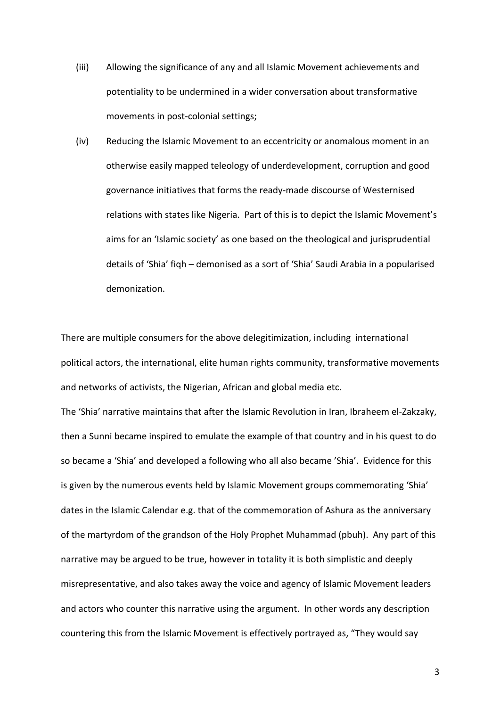(iii) Allowing the significance of any and all Islamic Movement achievements and potentiality to be undermined in a wider conversation about transformative movements in post-colonial settings;

(iv) Reducing the Islamic Movement to an eccentricity or anomalous moment in an otherwise easily mapped teleology of underdevelopment, corruption and good governance initiatives that forms the ready-made discourse of Westernised relations with states like Nigeria. Part of this is to depict the Islamic Movement's aims for an 'Islamic society' as one based on the theological and jurisprudential details of 'Shia' figh – demonised as a sort of 'Shia' Saudi Arabia in a popularised demonization.

There are multiple consumers for the above delegitimization, including international political actors, the international, elite human rights community, transformative movements and networks of activists, the Nigerian, African and global media etc.

The 'Shia' narrative maintains that after the Islamic Revolution in Iran, Ibraheem el-Zakzaky, then a Sunni became inspired to emulate the example of that country and in his quest to do so became a 'Shia' and developed a following who all also became 'Shia'. Evidence for this is given by the numerous events held by Islamic Movement groups commemorating 'Shia' dates in the Islamic Calendar e.g. that of the commemoration of Ashura as the anniversary of the martyrdom of the grandson of the Holy Prophet Muhammad (pbuh). Any part of this narrative may be argued to be true, however in totality it is both simplistic and deeply misrepresentative, and also takes away the voice and agency of Islamic Movement leaders and actors who counter this narrative using the argument. In other words any description countering this from the Islamic Movement is effectively portrayed as, "They would say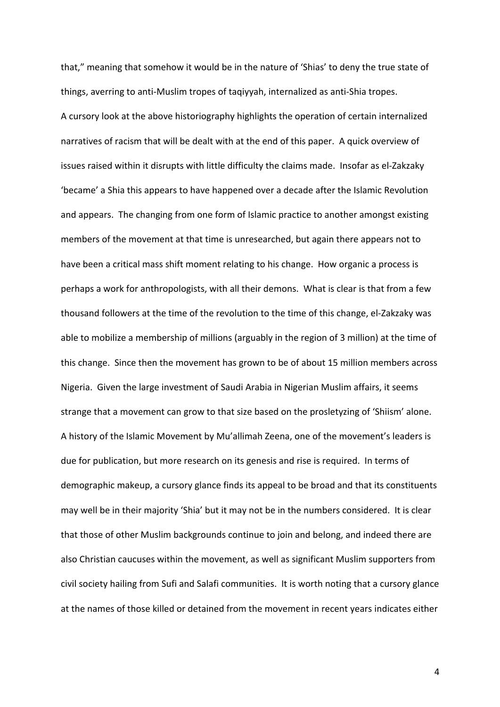that," meaning that somehow it would be in the nature of 'Shias' to deny the true state of things, averring to anti-Muslim tropes of taqiyyah, internalized as anti-Shia tropes. A cursory look at the above historiography highlights the operation of certain internalized narratives of racism that will be dealt with at the end of this paper. A quick overview of issues raised within it disrupts with little difficulty the claims made. Insofar as el-Zakzaky 'became' a Shia this appears to have happened over a decade after the Islamic Revolution and appears. The changing from one form of Islamic practice to another amongst existing members of the movement at that time is unresearched, but again there appears not to have been a critical mass shift moment relating to his change. How organic a process is perhaps a work for anthropologists, with all their demons. What is clear is that from a few thousand followers at the time of the revolution to the time of this change, el-Zakzaky was able to mobilize a membership of millions (arguably in the region of 3 million) at the time of this change. Since then the movement has grown to be of about 15 million members across Nigeria. Given the large investment of Saudi Arabia in Nigerian Muslim affairs, it seems strange that a movement can grow to that size based on the prosletyzing of 'Shiism' alone. A history of the Islamic Movement by Mu'allimah Zeena, one of the movement's leaders is due for publication, but more research on its genesis and rise is required. In terms of demographic makeup, a cursory glance finds its appeal to be broad and that its constituents may well be in their majority 'Shia' but it may not be in the numbers considered. It is clear that those of other Muslim backgrounds continue to join and belong, and indeed there are also Christian caucuses within the movement, as well as significant Muslim supporters from civil society hailing from Sufi and Salafi communities. It is worth noting that a cursory glance at the names of those killed or detained from the movement in recent years indicates either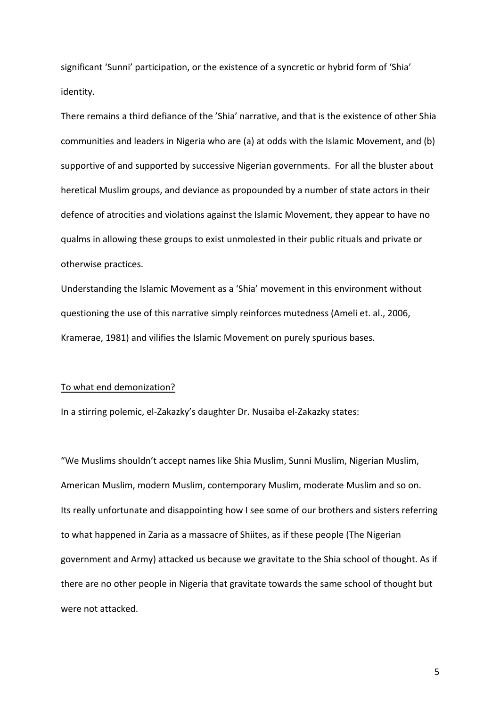significant 'Sunni' participation, or the existence of a syncretic or hybrid form of 'Shia' identity.

There remains a third defiance of the 'Shia' narrative, and that is the existence of other Shia communities and leaders in Nigeria who are (a) at odds with the Islamic Movement, and (b) supportive of and supported by successive Nigerian governments. For all the bluster about heretical Muslim groups, and deviance as propounded by a number of state actors in their defence of atrocities and violations against the Islamic Movement, they appear to have no qualms in allowing these groups to exist unmolested in their public rituals and private or otherwise practices.

Understanding the Islamic Movement as a 'Shia' movement in this environment without questioning the use of this narrative simply reinforces mutedness (Ameli et. al., 2006, Kramerae, 1981) and vilifies the Islamic Movement on purely spurious bases.

# To what end demonization?

In a stirring polemic, el-Zakazky's daughter Dr. Nusaiba el-Zakazky states:

"We Muslims shouldn't accept names like Shia Muslim, Sunni Muslim, Nigerian Muslim, American Muslim, modern Muslim, contemporary Muslim, moderate Muslim and so on. Its really unfortunate and disappointing how I see some of our brothers and sisters referring to what happened in Zaria as a massacre of Shiites, as if these people (The Nigerian government and Army) attacked us because we gravitate to the Shia school of thought. As if there are no other people in Nigeria that gravitate towards the same school of thought but were not attacked.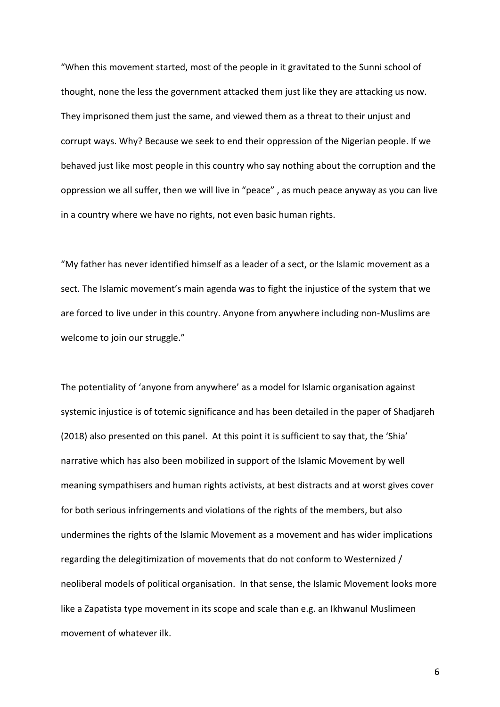"When this movement started, most of the people in it gravitated to the Sunni school of thought, none the less the government attacked them just like they are attacking us now. They imprisoned them just the same, and viewed them as a threat to their unjust and corrupt ways. Why? Because we seek to end their oppression of the Nigerian people. If we behaved just like most people in this country who say nothing about the corruption and the oppression we all suffer, then we will live in "peace", as much peace anyway as you can live in a country where we have no rights, not even basic human rights.

"My father has never identified himself as a leader of a sect, or the Islamic movement as a sect. The Islamic movement's main agenda was to fight the injustice of the system that we are forced to live under in this country. Anyone from anywhere including non-Muslims are welcome to join our struggle."

The potentiality of 'anyone from anywhere' as a model for Islamic organisation against systemic injustice is of totemic significance and has been detailed in the paper of Shadjareh (2018) also presented on this panel. At this point it is sufficient to say that, the 'Shia' narrative which has also been mobilized in support of the Islamic Movement by well meaning sympathisers and human rights activists, at best distracts and at worst gives cover for both serious infringements and violations of the rights of the members, but also undermines the rights of the Islamic Movement as a movement and has wider implications regarding the delegitimization of movements that do not conform to Westernized / neoliberal models of political organisation. In that sense, the Islamic Movement looks more like a Zapatista type movement in its scope and scale than e.g. an Ikhwanul Muslimeen movement of whatever ilk.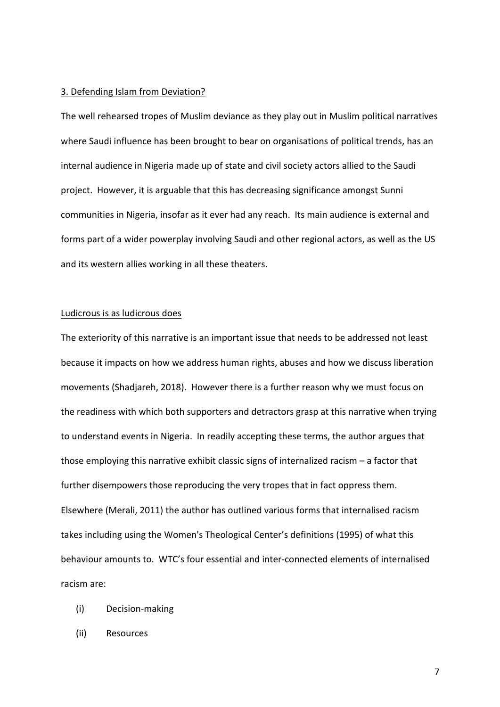#### 3. Defending Islam from Deviation?

The well rehearsed tropes of Muslim deviance as they play out in Muslim political narratives where Saudi influence has been brought to bear on organisations of political trends, has an internal audience in Nigeria made up of state and civil society actors allied to the Saudi project. However, it is arguable that this has decreasing significance amongst Sunni communities in Nigeria, insofar as it ever had any reach. Its main audience is external and forms part of a wider powerplay involving Saudi and other regional actors, as well as the US and its western allies working in all these theaters.

## Ludicrous is as ludicrous does

The exteriority of this narrative is an important issue that needs to be addressed not least because it impacts on how we address human rights, abuses and how we discuss liberation movements (Shadjareh, 2018). However there is a further reason why we must focus on the readiness with which both supporters and detractors grasp at this narrative when trying to understand events in Nigeria. In readily accepting these terms, the author argues that those employing this narrative exhibit classic signs of internalized racism  $-$  a factor that further disempowers those reproducing the very tropes that in fact oppress them. Elsewhere (Merali, 2011) the author has outlined various forms that internalised racism takes including using the Women's Theological Center's definitions (1995) of what this behaviour amounts to. WTC's four essential and inter-connected elements of internalised racism are:

- (i) Decision-making
- (ii) Resources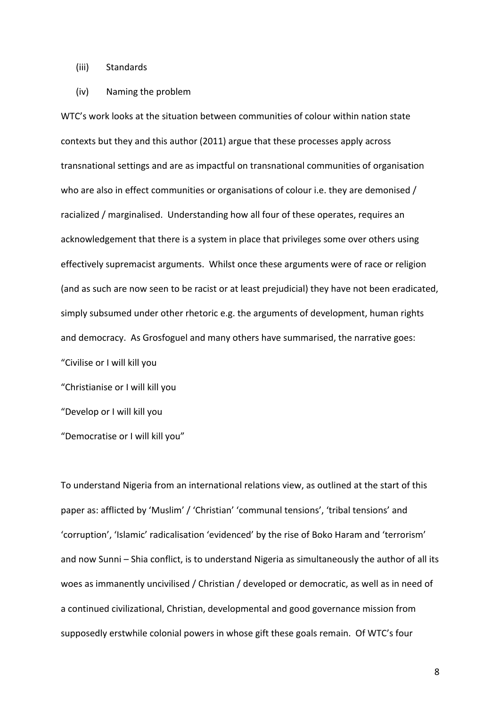# (iii) Standards

### (iv) Naming the problem

WTC's work looks at the situation between communities of colour within nation state contexts but they and this author (2011) argue that these processes apply across transnational settings and are as impactful on transnational communities of organisation who are also in effect communities or organisations of colour i.e. they are demonised / racialized / marginalised. Understanding how all four of these operates, requires an acknowledgement that there is a system in place that privileges some over others using effectively supremacist arguments. Whilst once these arguments were of race or religion (and as such are now seen to be racist or at least prejudicial) they have not been eradicated, simply subsumed under other rhetoric e.g. the arguments of development, human rights and democracy. As Grosfoguel and many others have summarised, the narrative goes: "Civilise or I will kill you

"Christianise or I will kill you

"Develop or I will kill you

"Democratise or I will kill you"

To understand Nigeria from an international relations view, as outlined at the start of this paper as: afflicted by 'Muslim' / 'Christian' 'communal tensions', 'tribal tensions' and 'corruption', 'Islamic' radicalisation 'evidenced' by the rise of Boko Haram and 'terrorism' and now Sunni – Shia conflict, is to understand Nigeria as simultaneously the author of all its woes as immanently uncivilised / Christian / developed or democratic, as well as in need of a continued civilizational, Christian, developmental and good governance mission from supposedly erstwhile colonial powers in whose gift these goals remain. Of WTC's four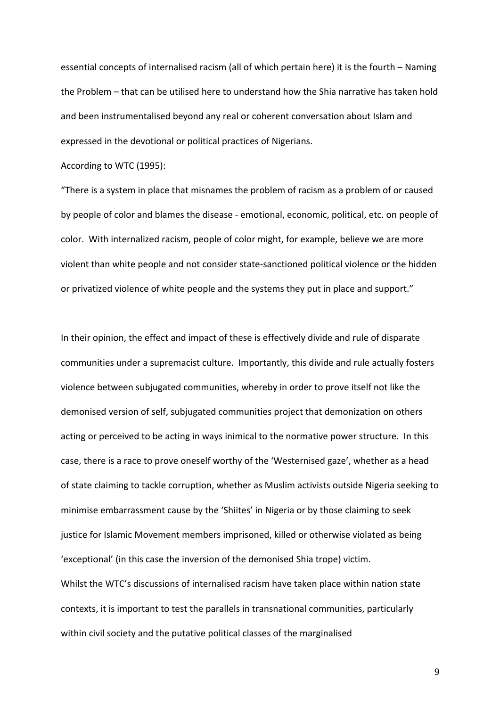essential concepts of internalised racism (all of which pertain here) it is the fourth – Naming the Problem – that can be utilised here to understand how the Shia narrative has taken hold and been instrumentalised beyond any real or coherent conversation about Islam and expressed in the devotional or political practices of Nigerians.

According to WTC (1995):

"There is a system in place that misnames the problem of racism as a problem of or caused by people of color and blames the disease - emotional, economic, political, etc. on people of color. With internalized racism, people of color might, for example, believe we are more violent than white people and not consider state-sanctioned political violence or the hidden or privatized violence of white people and the systems they put in place and support."

In their opinion, the effect and impact of these is effectively divide and rule of disparate communities under a supremacist culture. Importantly, this divide and rule actually fosters violence between subjugated communities, whereby in order to prove itself not like the demonised version of self, subjugated communities project that demonization on others acting or perceived to be acting in ways inimical to the normative power structure. In this case, there is a race to prove oneself worthy of the 'Westernised gaze', whether as a head of state claiming to tackle corruption, whether as Muslim activists outside Nigeria seeking to minimise embarrassment cause by the 'Shiites' in Nigeria or by those claiming to seek justice for Islamic Movement members imprisoned, killed or otherwise violated as being 'exceptional' (in this case the inversion of the demonised Shia trope) victim. Whilst the WTC's discussions of internalised racism have taken place within nation state contexts, it is important to test the parallels in transnational communities, particularly within civil society and the putative political classes of the marginalised